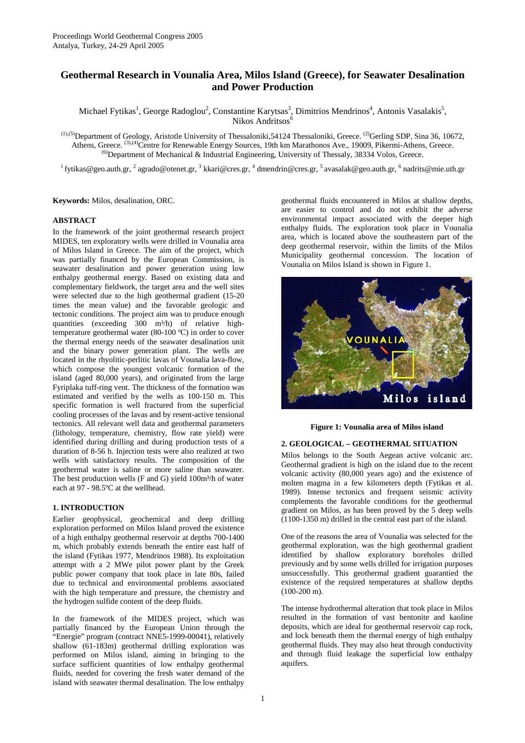# **Geothermal Research in Vounalia Area, Milos Island (Greece), for Seawater Desalination and Power Production**

Michael Fytikas<sup>1</sup>, George Radoglou<sup>2</sup>, Constantine Karytsas<sup>3</sup>, Dimitrios Mendrinos<sup>4</sup>, Antonis Vasalakis<sup>5</sup>, Nikos Andritsos<sup>6</sup>

 $(1)$ ,(5)Department of Geology, Aristotle University of Thessaloniki,54124 Thessaloniki, Greece. <sup>(2)</sup>Gerling SDP, Sina 36, 10672, Athens, Greece. <sup>(3),(4)</sup>Centre for Renewable Energy Sources, 19th km Marathonos Ave., 19009, Pikermi-Athens, Greece. <sup>(6)</sup>Department of Mechanical & Industrial Engineering, University of Thessaly, 38334 Volos, Greece.

 $^1$  fytikas@geo.auth.gr,  $^2$  agrado@otenet.gr,  $^3$  kkari@cres.gr,  $^4$  dmendrin@cres.gr,  $^5$  avasalak@geo.auth.gr,  $^6$  nadrits@mie.uth.gr

**Keywords:** Milos, desalination, ORC.

## **ABSTRACT**

In the framework of the joint geothermal research project MIDES, ten exploratory wells were drilled in Vounalia area of Milos Island in Greece. The aim of the project, which was partially financed by the European Commission, is seawater desalination and power generation using low enthalpy geothermal energy. Based on existing data and complementary fieldwork, the target area and the well sites were selected due to the high geothermal gradient (15-20 times the mean value) and the favorable geologic and tectonic conditions. The project aim was to produce enough quantities (exceeding 300 m<sup>3</sup>/h) of relative hightemperature geothermal water (80-100 ºC) in order to cover the thermal energy needs of the seawater desalination unit and the binary power generation plant. The wells are located in the rhyolitic-perlitic lavas of Vounalia lava-flow, which compose the youngest volcanic formation of the island (aged 80,000 years), and originated from the large Fyriplaka tuff-ring vent. The thickness of the formation was estimated and verified by the wells as 100-150 m. This specific formation is well fractured from the superficial cooling processes of the lavas and by resent-active tensional tectonics. All relevant well data and geothermal parameters (lithology, temperature, chemistry, flow rate yield) were identified during drilling and during production tests of a duration of 8-56 h. Injection tests were also realized at two wells with satisfactory results. The composition of the geothermal water is saline or more saline than seawater. The best production wells (F and G) yield  $100m<sup>3</sup>/h$  of water each at 97 - 98.5ºC at the wellhead.

## **1. INTRODUCTION**

Earlier geophysical, geochemical and deep drilling exploration performed on Milos Island proved the existence of a high enthalpy geothermal reservoir at depths 700-1400 m, which probably extends beneath the entire east half of the island (Fytikas 1977, Mendrinos 1988). Its exploitation attempt with a 2 MWe pilot power plant by the Greek public power company that took place in late 80s, failed due to technical and environmental problems associated with the high temperature and pressure, the chemistry and the hydrogen sulfide content of the deep fluids.

In the framework of the MIDES project, which was partially financed by the European Union through the "Energie" program (contract NNE5-1999-00041), relatively shallow (61-183m) geothermal drilling exploration was performed on Milos island, aiming in bringing to the surface sufficient quantities of low enthalpy geothermal fluids, needed for covering the fresh water demand of the island with seawater thermal desalination. The low enthalpy

geothermal fluids encountered in Milos at shallow depths, are easier to control and do not exhibit the adverse environmental impact associated with the deeper high enthalpy fluids. The exploration took place in Vounalia area, which is located above the southeastern part of the deep geothermal reservoir, within the limits of the Milos Municipality geothermal concession. The location of Vounalia on Milos Island is shown in Figure 1.



**Figure 1: Vounalia area of Milos island** 

## **2. GEOLOGICAL – GEOTHERMAL SITUATION**

Milos belongs to the South Aegean active volcanic arc. Geothermal gradient is high on the island due to the recent volcanic activity (80,000 years ago) and the existence of molten magma in a few kilometers depth (Fytikas et al. 1989). Intense tectonics and frequent seismic activity complements the favorable conditions for the geothermal gradient on Milos, as has been proved by the 5 deep wells (1100-1350 m) drilled in the central east part of the island.

One of the reasons the area of Vounalia was selected for the geothermal exploration, was the high geothermal gradient identified by shallow exploratory boreholes drilled previously and by some wells drilled for irrigation purposes unsuccessfully. This geothermal gradient guarantied the existence of the required temperatures at shallow depths (100-200 m).

The intense hydrothermal alteration that took place in Milos resulted in the formation of vast bentonite and kaoline deposits, which are ideal for geothermal reservoir cap rock, and lock beneath them the thermal energy of high enthalpy geothermal fluids. They may also heat through conductivity and through fluid leakage the superficial low enthalpy aquifers.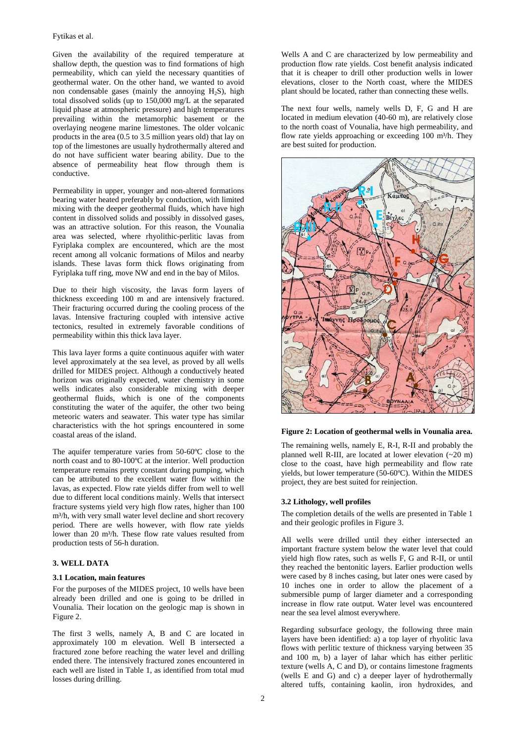Given the availability of the required temperature at shallow depth, the question was to find formations of high permeability, which can yield the necessary quantities of geothermal water. On the other hand, we wanted to avoid non condensable gases (mainly the annoying  $H_2S$ ), high total dissolved solids (up to 150,000 mg/L at the separated liquid phase at atmospheric pressure) and high temperatures prevailing within the metamorphic basement or the overlaying neogene marine limestones. The older volcanic products in the area (0.5 to 3.5 million years old) that lay on top of the limestones are usually hydrothermally altered and do not have sufficient water bearing ability. Due to the absence of permeability heat flow through them is conductive.

Permeability in upper, younger and non-altered formations bearing water heated preferably by conduction, with limited mixing with the deeper geothermal fluids, which have high content in dissolved solids and possibly in dissolved gases, was an attractive solution. For this reason, the Vounalia area was selected, where rhyolithic-perlitic lavas from Fyriplaka complex are encountered, which are the most recent among all volcanic formations of Milos and nearby islands. These lavas form thick flows originating from Fyriplaka tuff ring, move NW and end in the bay of Milos.

Due to their high viscosity, the lavas form layers of thickness exceeding 100 m and are intensively fractured. Their fracturing occurred during the cooling process of the lavas. Intensive fracturing coupled with intensive active tectonics, resulted in extremely favorable conditions of permeability within this thick lava layer.

This lava layer forms a quite continuous aquifer with water level approximately at the sea level, as proved by all wells drilled for MIDES project. Although a conductively heated horizon was originally expected, water chemistry in some wells indicates also considerable mixing with deeper geothermal fluids, which is one of the components constituting the water of the aquifer, the other two being meteoric waters and seawater. This water type has similar characteristics with the hot springs encountered in some coastal areas of the island.

The aquifer temperature varies from 50-60ºC close to the north coast and to 80-100ºC at the interior. Well production temperature remains pretty constant during pumping, which can be attributed to the excellent water flow within the lavas, as expected. Flow rate yields differ from well to well due to different local conditions mainly. Wells that intersect fracture systems yield very high flow rates, higher than 100 m<sup>3</sup>/h, with very small water level decline and short recovery period. There are wells however, with flow rate yields lower than 20 m<sup>3</sup>/h. These flow rate values resulted from production tests of 56-h duration.

# **3. WELL DATA**

#### **3.1 Location, main features**

For the purposes of the MIDES project, 10 wells have been already been drilled and one is going to be drilled in Vounalia. Their location on the geologic map is shown in Figure 2.

The first 3 wells, namely A, B and C are located in approximately 100 m elevation. Well B intersected a fractured zone before reaching the water level and drilling ended there. The intensively fractured zones encountered in each well are listed in Table 1, as identified from total mud losses during drilling.

Wells A and C are characterized by low permeability and production flow rate yields. Cost benefit analysis indicated that it is cheaper to drill other production wells in lower elevations, closer to the North coast, where the MIDES plant should be located, rather than connecting these wells.

The next four wells, namely wells D, F, G and H are located in medium elevation (40-60 m), are relatively close to the north coast of Vounalia, have high permeability, and flow rate yields approaching or exceeding 100 m<sup>3</sup>/h. They are best suited for production.



#### **Figure 2: Location of geothermal wells in Vounalia area.**

The remaining wells, namely E, R-I, R-II and probably the planned well R-III, are located at lower elevation (~20 m) close to the coast, have high permeability and flow rate yields, but lower temperature (50-60ºC). Within the MIDES project, they are best suited for reinjection.

#### **3.2 Lithology, well profiles**

The completion details of the wells are presented in Table 1 and their geologic profiles in Figure 3.

All wells were drilled until they either intersected an important fracture system below the water level that could yield high flow rates, such as wells F, G and R-II, or until they reached the bentonitic layers. Earlier production wells were cased by 8 inches casing, but later ones were cased by 10 inches one in order to allow the placement of a submersible pump of larger diameter and a corresponding increase in flow rate output. Water level was encountered near the sea level almost everywhere.

Regarding subsurface geology, the following three main layers have been identified: a) a top layer of rhyolitic lava flows with perlitic texture of thickness varying between 35 and 100 m, b) a layer of lahar which has either perlitic texture (wells A, C and D), or contains limestone fragments (wells E and G) and c) a deeper layer of hydrothermally altered tuffs, containing kaolin, iron hydroxides, and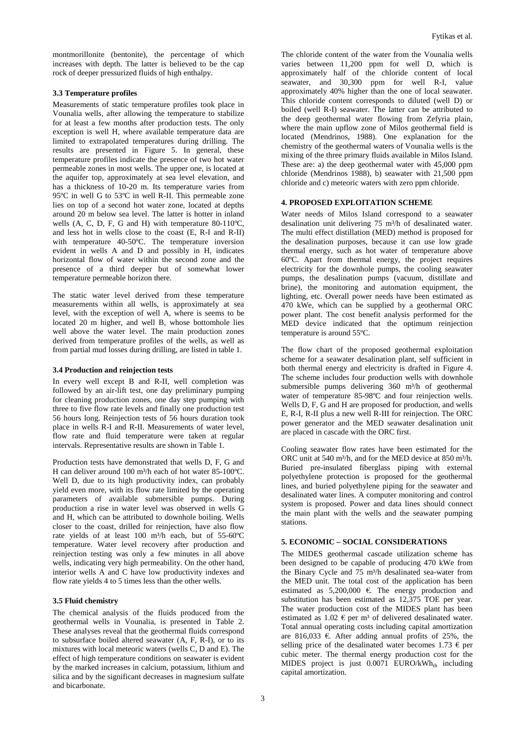montmorillonite (bentonite), the percentage of which increases with depth. The latter is believed to be the cap rock of deeper pressurized fluids of high enthalpy.

## **3.3 Temperature profiles**

Measurements of static temperature profiles took place in Vounalia wells, after allowing the temperature to stabilize for at least a few months after production tests. The only exception is well H, where available temperature data are limited to extrapolated temperatures during drilling. The results are presented in Figure 5. In general, these temperature profiles indicate the presence of two hot water permeable zones in most wells. The upper one, is located at the aquifer top, approximately at sea level elevation, and has a thickness of 10-20 m. Its temperature varies from 95ºC in well G to 53ºC in well R-II. This permeable zone lies on top of a second hot water zone, located at depths around 20 m below sea level. The latter is hotter in inland wells (A, C, D, F, G and H) with temperature 80-110ºC, and less hot in wells close to the coast (E, R-I and R-II) with temperature 40-50ºC. The temperature inversion evident in wells A and D and possibly in H, indicates horizontal flow of water within the second zone and the presence of a third deeper but of somewhat lower temperature permeable horizon there.

The static water level derived from these temperature measurements within all wells, is approximately at sea level, with the exception of well A, where is seems to be located 20 m higher, and well B, whose bottomhole lies well above the water level. The main production zones derived from temperature profiles of the wells, as well as from partial mud losses during drilling, are listed in table 1.

#### **3.4 Production and reinjection tests**

In every well except B and R-II, well completion was followed by an air-lift test, one day preliminary pumping for cleaning production zones, one day step pumping with three to five flow rate levels and finally one production test 56 hours long. Reinjection tests of 56 hours duration took place in wells R-I and R-II. Measurements of water level, flow rate and fluid temperature were taken at regular intervals. Representative results are shown in Table 1.

Production tests have demonstrated that wells D, F, G and H can deliver around 100 m<sup>3</sup>/h each of hot water 85-100°C. Well D, due to its high productivity index, can probably yield even more, with its flow rate limited by the operating parameters of available submersible pumps. During production a rise in water level was observed in wells G and H, which can be attributed to downhole boiling. Wells closer to the coast, drilled for reinjection, have also flow rate yields of at least 100 m<sup>3</sup>/h each, but of 55-60°C temperature. Water level recovery after production and reinjection testing was only a few minutes in all above wells, indicating very high permeability. On the other hand, interior wells A and C have low productivity indexes and flow rate yields 4 to 5 times less than the other wells.

## **3.5 Fluid chemistry**

The chemical analysis of the fluids produced from the geothermal wells in Vounalia, is presented in Table 2. These analyses reveal that the geothermal fluids correspond to subsurface boiled altered seawater (A, F, R-I), or to its mixtures with local meteoric waters (wells C, D and E). The effect of high temperature conditions on seawater is evident by the marked increases in calcium, potassium, lithium and silica and by the significant decreases in magnesium sulfate and bicarbonate.

The chloride content of the water from the Vounalia wells varies between 11,200 ppm for well D, which is approximately half of the chloride content of local seawater, and 30,300 ppm for well R-I, value approximately 40% higher than the one of local seawater. This chloride content corresponds to diluted (well D) or boiled (well R-I) seawater. The latter can be attributed to the deep geothermal water flowing from Zefyria plain, where the main upflow zone of Milos geothermal field is located (Mendrinos, 1988). One explanation for the chemistry of the geothermal waters of Vounalia wells is the mixing of the three primary fluids available in Milos Island. These are: a) the deep geothermal water with 45,000 ppm chloride (Mendrinos 1988), b) seawater with 21,500 ppm chloride and c) meteoric waters with zero ppm chloride.

## **4. PROPOSED EXPLOITATION SCHEME**

Water needs of Milos Island correspond to a seawater desalination unit delivering 75 m<sup>3</sup>/h of desalinated water. The multi effect distillation (MED) method is proposed for the desalination purposes, because it can use low grade thermal energy, such as hot water of temperature above 60ºC. Apart from thermal energy, the project requires electricity for the downhole pumps, the cooling seawater pumps, the desalination pumps (vacuum, distillate and brine), the monitoring and automation equipment, the lighting, etc. Overall power needs have been estimated as 470 kWe, which can be supplied by a geothermal ORC power plant. The cost benefit analysis performed for the MED device indicated that the optimum reinjection temperature is around 55ºC.

The flow chart of the proposed geothermal exploitation scheme for a seawater desalination plant, self sufficient in both thermal energy and electricity is drafted in Figure 4. The scheme includes four production wells with downhole submersible pumps delivering 360 m<sup>3</sup>/h of geothermal water of temperature 85-98ºC and four reinjection wells. Wells D, F, G and H are proposed for production, and wells E, R-I, R-II plus a new well R-III for reinjection. The ORC power generator and the MED seawater desalination unit are placed in cascade with the ORC first.

Cooling seawater flow rates have been estimated for the ORC unit at 540 m<sup>3</sup>/h, and for the MED device at 850 m<sup>3</sup>/h. Buried pre-insulated fiberglass piping with external polyethylene protection is proposed for the geothermal lines, and buried polyethylene piping for the seawater and desalinated water lines. A computer monitoring and control system is proposed. Power and data lines should connect the main plant with the wells and the seawater pumping stations.

#### **5. ECONOMIC – SOCIAL CONSIDERATIONS**

The MIDES geothermal cascade utilization scheme has been designed to be capable of producing 470 kWe from the Binary Cycle and 75 m<sup>3</sup>/h desalinated sea-water from the MED unit. The total cost of the application has been estimated as 5,200,000 €. The energy production and substitution has been estimated as 12,375 TOE per year. The water production cost of the MIDES plant has been estimated as  $1.02 \text{ }\in$  per m<sup>3</sup> of delivered desalinated water. Total annual operating costs including capital amortization are 816,033 €. After adding annual profits of 25%, the selling price of the desalinated water becomes  $1.73 \text{ } \in \text{per}$ cubic meter. The thermal energy production cost for the MIDES project is just  $0.0071$  EURO/kWh<sub>th</sub> including capital amortization.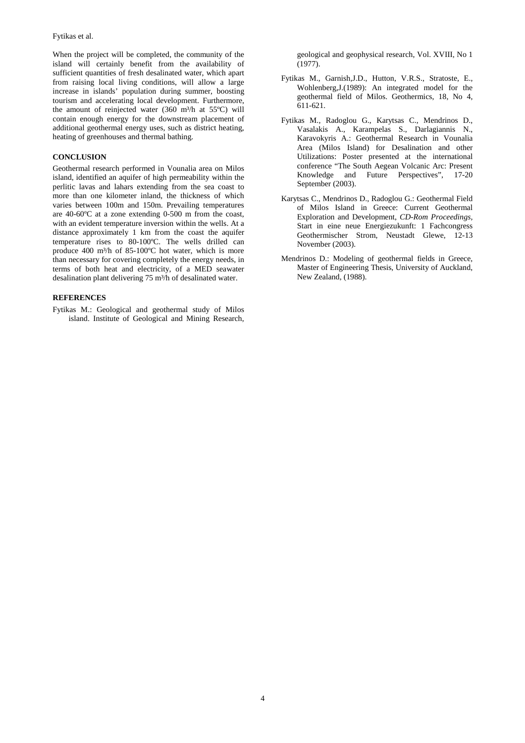When the project will be completed, the community of the island will certainly benefit from the availability of sufficient quantities of fresh desalinated water, which apart from raising local living conditions, will allow a large increase in islands' population during summer, boosting tourism and accelerating local development. Furthermore, the amount of reinjected water  $(360 \text{ m}^3/\text{h}$  at  $55^{\circ}\text{C})$  will contain enough energy for the downstream placement of additional geothermal energy uses, such as district heating, heating of greenhouses and thermal bathing.

# **CONCLUSION**

Geothermal research performed in Vounalia area on Milos island, identified an aquifer of high permeability within the perlitic lavas and lahars extending from the sea coast to more than one kilometer inland, the thickness of which varies between 100m and 150m. Prevailing temperatures are 40-60ºC at a zone extending 0-500 m from the coast, with an evident temperature inversion within the wells. At a distance approximately 1 km from the coast the aquifer temperature rises to 80-100ºC. The wells drilled can produce 400 m<sup>3</sup>/h of 85-100°C hot water, which is more than necessary for covering completely the energy needs, in terms of both heat and electricity, of a MED seawater desalination plant delivering 75 m<sup>3</sup>/h of desalinated water.

# **REFERENCES**

Fytikas M.: Geological and geothermal study of Milos island. Institute of Geological and Mining Research,

geological and geophysical research, Vol. XVIII, No 1 (1977).

- Fytikas M., Garnish,J.D., Hutton, V.R.S., Stratoste, E., Wohlenberg,J.(1989): An integrated model for the geothermal field of Milos. Geothermics, 18, No 4, 611-621.
- Fytikas M., Radoglou G., Karytsas C., Mendrinos D., Vasalakis A., Karampelas S., Darlagiannis N., Karavokyris A.: Geothermal Research in Vounalia Area (Milos Island) for Desalination and other Utilizations: Poster presented at the international conference "The South Aegean Volcanic Arc: Present Knowledge and Future Perspectives", 17-20 September (2003).
- Karytsas C., Mendrinos D., Radoglou G.: Geothermal Field of Milos Island in Greece: Current Geothermal Exploration and Development, *CD-Rom Proceedings,* Start in eine neue Energiezukunft: 1 Fachcongress Geothermischer Strom, Neustadt Glewe, 12-13 November (2003).
- Mendrinos D.: Modeling of geothermal fields in Greece, Master of Engineering Thesis, University of Auckland, New Zealand, (1988).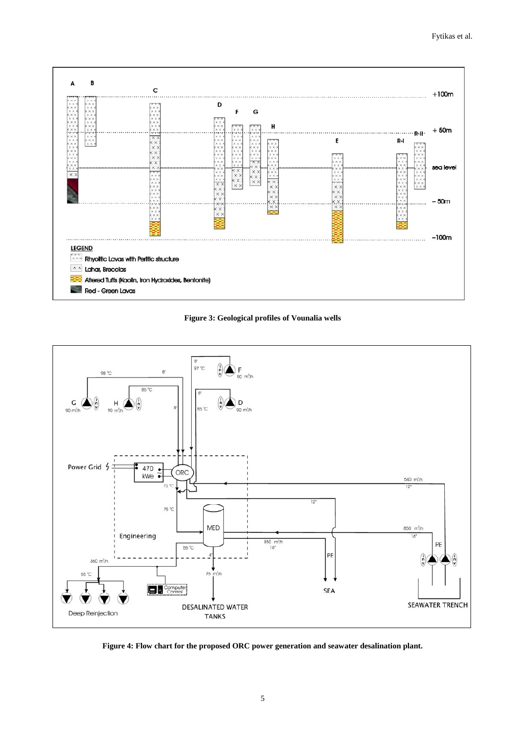





**Figure 4: Flow chart for the proposed ORC power generation and seawater desalination plant.**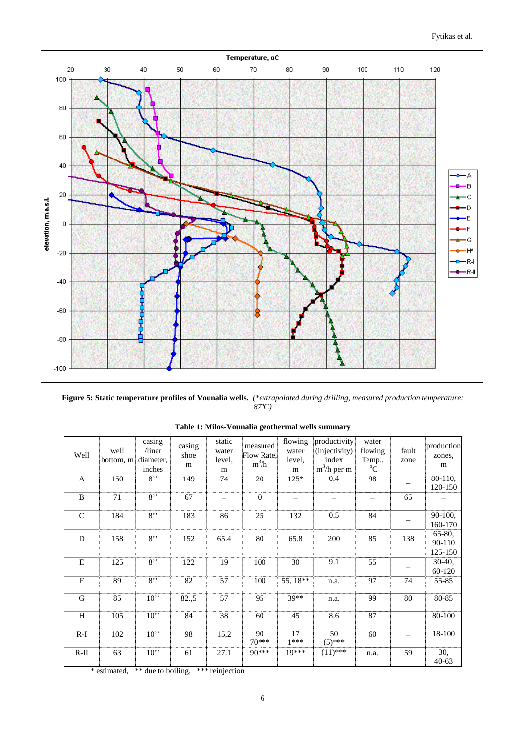

**Figure 5: Static temperature profiles of Vounalia wells.** *(\*extrapolated during drilling, measured production temperature: 87ºC)* 

| Well         | well<br>bottom, m | casing<br>$/$ liner<br>diameter,<br>inches | casing<br>shoe<br>m | static<br>water<br>level,<br>m                           | measured<br>Flow Rate.<br>$m^3/h$ | flowing<br>water<br>level,<br>m | productivity<br>(injectivity)<br>index<br>$m^3/h$ per m | water<br>flowing<br>Temp.,<br>$\rm ^{o}C$ | fault<br>zone | production<br>zones,<br>m   |
|--------------|-------------------|--------------------------------------------|---------------------|----------------------------------------------------------|-----------------------------------|---------------------------------|---------------------------------------------------------|-------------------------------------------|---------------|-----------------------------|
| $\mathbf{A}$ | 150               | $8$ "                                      | 149                 | 74                                                       | 20                                | $125*$                          | 0.4                                                     | 98                                        |               | 80-110.<br>120-150          |
| B            | 71                | $8$ "                                      | 67                  |                                                          | $\overline{0}$                    |                                 |                                                         |                                           | 65            |                             |
| $\mathsf{C}$ | 184               | $8$ "                                      | 183                 | 86                                                       | 25                                | 132                             | 0.5                                                     | 84                                        |               | 90-100,<br>160-170          |
| D            | 158               | $8$ "                                      | 152                 | 65.4                                                     | 80                                | 65.8                            | 200                                                     | 85                                        | 138           | 65-80,<br>90-110<br>125-150 |
| E            | 125               | $8$ "                                      | 122                 | 19                                                       | 100                               | 30                              | 9.1                                                     | 55                                        |               | $30-40,$<br>60-120          |
| $\mathbf{F}$ | 89                | $8$ "                                      | 82                  | 57                                                       | 100                               | 55, 18**                        | n.a.                                                    | 97                                        | 74            | 55-85                       |
| G            | 85                | 10                                         | 82., 5              | 57                                                       | 95                                | 39**                            | n.a.                                                    | 99                                        | 80            | 80-85                       |
| H            | 105               | $10$ "                                     | 84                  | 38                                                       | 60                                | 45                              | 8.6                                                     | 87                                        |               | 80-100                      |
| $R-I$        | 102               | $10$ "                                     | 98                  | 15,2                                                     | 90<br>$70***$                     | 17<br>$1***$                    | 50<br>$(5)$ ***                                         | 60                                        |               | 18-100                      |
| $R-II$       | 63                | $10$ "<br>$14.14 - 11$                     | 61                  | 27.1<br>and the company of the company of the company of | $90***$                           | $19***$                         | $(11)$ ***                                              | n.a.                                      | 59            | 30,<br>$40 - 63$            |

**Table 1: Milos-Vounalia geothermal wells summary** 

\* estimated, \*\* due to boiling, \*\*\* reinjection